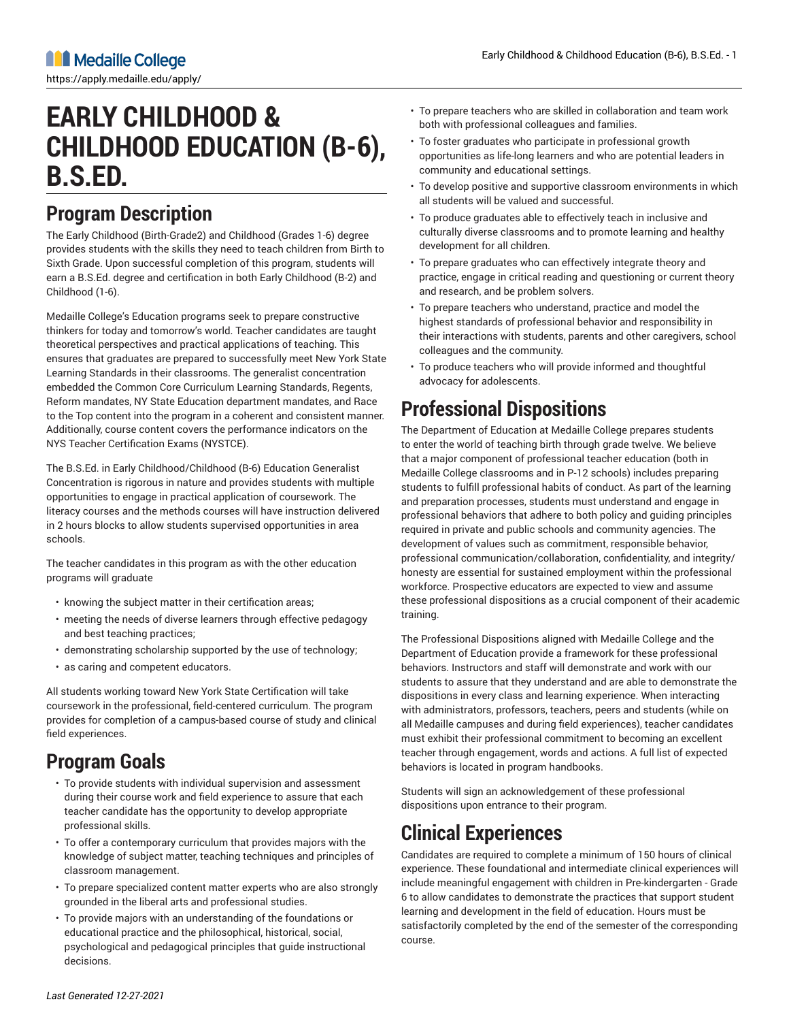# **EARLY CHILDHOOD & CHILDHOOD EDUCATION (B-6), B.S.ED.**

## **Program Description**

The Early Childhood (Birth-Grade2) and Childhood (Grades 1-6) degree provides students with the skills they need to teach children from Birth to Sixth Grade. Upon successful completion of this program, students will earn a B.S.Ed. degree and certification in both Early Childhood (B-2) and Childhood (1-6).

Medaille College's Education programs seek to prepare constructive thinkers for today and tomorrow's world. Teacher candidates are taught theoretical perspectives and practical applications of teaching. This ensures that graduates are prepared to successfully meet New York State Learning Standards in their classrooms. The generalist concentration embedded the Common Core Curriculum Learning Standards, Regents, Reform mandates, NY State Education department mandates, and Race to the Top content into the program in a coherent and consistent manner. Additionally, course content covers the performance indicators on the NYS Teacher Certification Exams (NYSTCE).

The B.S.Ed. in Early Childhood/Childhood (B-6) Education Generalist Concentration is rigorous in nature and provides students with multiple opportunities to engage in practical application of coursework. The literacy courses and the methods courses will have instruction delivered in 2 hours blocks to allow students supervised opportunities in area schools.

The teacher candidates in this program as with the other education programs will graduate

- knowing the subject matter in their certification areas;
- meeting the needs of diverse learners through effective pedagogy and best teaching practices;
- demonstrating scholarship supported by the use of technology;
- as caring and competent educators.

All students working toward New York State Certification will take coursework in the professional, field-centered curriculum. The program provides for completion of a campus-based course of study and clinical field experiences.

# **Program Goals**

- To provide students with individual supervision and assessment during their course work and field experience to assure that each teacher candidate has the opportunity to develop appropriate professional skills.
- To offer a contemporary curriculum that provides majors with the knowledge of subject matter, teaching techniques and principles of classroom management.
- To prepare specialized content matter experts who are also strongly grounded in the liberal arts and professional studies.
- To provide majors with an understanding of the foundations or educational practice and the philosophical, historical, social, psychological and pedagogical principles that guide instructional decisions.
- To prepare teachers who are skilled in collaboration and team work both with professional colleagues and families.
- To foster graduates who participate in professional growth opportunities as life-long learners and who are potential leaders in community and educational settings.
- To develop positive and supportive classroom environments in which all students will be valued and successful.
- To produce graduates able to effectively teach in inclusive and culturally diverse classrooms and to promote learning and healthy development for all children.
- To prepare graduates who can effectively integrate theory and practice, engage in critical reading and questioning or current theory and research, and be problem solvers.
- To prepare teachers who understand, practice and model the highest standards of professional behavior and responsibility in their interactions with students, parents and other caregivers, school colleagues and the community.
- To produce teachers who will provide informed and thoughtful advocacy for adolescents.

# **Professional Dispositions**

The Department of Education at Medaille College prepares students to enter the world of teaching birth through grade twelve. We believe that a major component of professional teacher education (both in Medaille College classrooms and in P-12 schools) includes preparing students to fulfill professional habits of conduct. As part of the learning and preparation processes, students must understand and engage in professional behaviors that adhere to both policy and guiding principles required in private and public schools and community agencies. The development of values such as commitment, responsible behavior, professional communication/collaboration, confidentiality, and integrity/ honesty are essential for sustained employment within the professional workforce. Prospective educators are expected to view and assume these professional dispositions as a crucial component of their academic training.

The Professional Dispositions aligned with Medaille College and the Department of Education provide a framework for these professional behaviors. Instructors and staff will demonstrate and work with our students to assure that they understand and are able to demonstrate the dispositions in every class and learning experience. When interacting with administrators, professors, teachers, peers and students (while on all Medaille campuses and during field experiences), teacher candidates must exhibit their professional commitment to becoming an excellent teacher through engagement, words and actions. A full list of expected behaviors is located in program handbooks.

Students will sign an acknowledgement of these professional dispositions upon entrance to their program.

# **Clinical Experiences**

Candidates are required to complete a minimum of 150 hours of clinical experience. These foundational and intermediate clinical experiences will include meaningful engagement with children in Pre-kindergarten - Grade 6 to allow candidates to demonstrate the practices that support student learning and development in the field of education. Hours must be satisfactorily completed by the end of the semester of the corresponding course.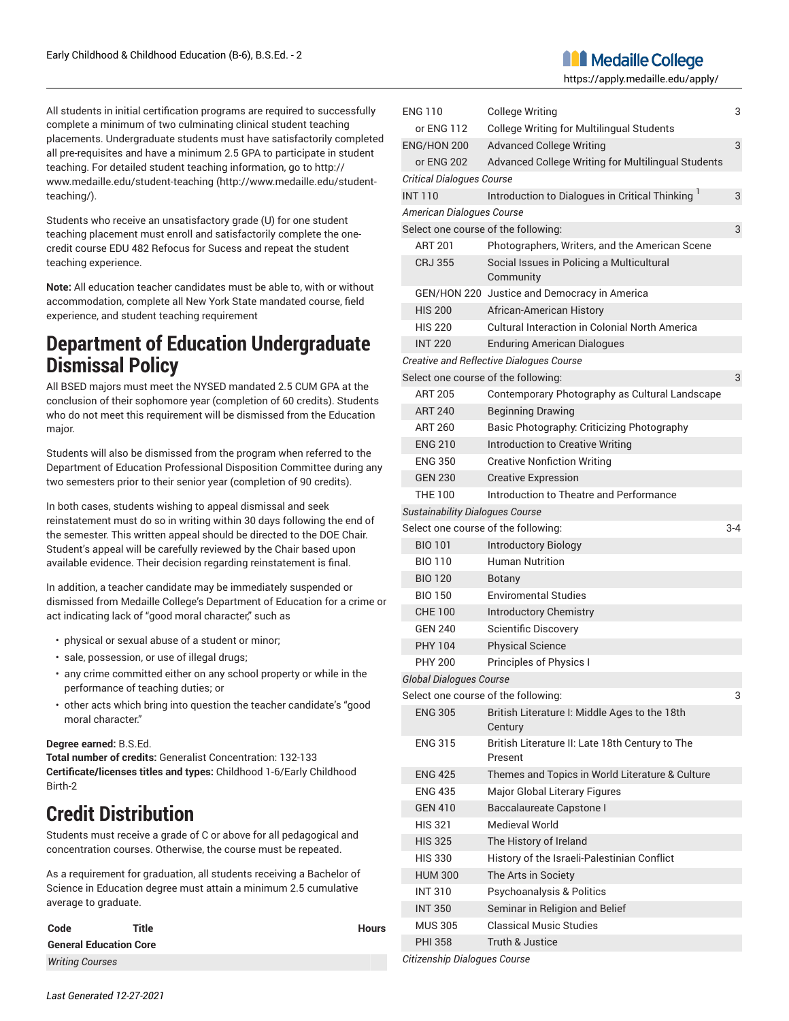**Manufallie College** 

https://apply.medaille.edu/apply/

All students in initial certification programs are required to successfully complete a minimum of two culminating clinical student teaching placements. Undergraduate students must have satisfactorily completed all pre-requisites and have a minimum 2.5 GPA to participate in student teaching. For detailed student teaching information, go to [http://](http://www.medaille.edu/student-teaching/) [www.medaille.edu/student-teaching](http://www.medaille.edu/student-teaching/) ([http://www.medaille.edu/student](http://www.medaille.edu/student-teaching/)[teaching/\)](http://www.medaille.edu/student-teaching/).

Students who receive an unsatisfactory grade (U) for one student teaching placement must enroll and satisfactorily complete the onecredit course EDU 482 Refocus for Sucess and repeat the student teaching experience.

**Note:** All education teacher candidates must be able to, with or without accommodation, complete all New York State mandated course, field experience, and student teaching requirement

### **Department of Education Undergraduate Dismissal Policy**

All BSED majors must meet the NYSED mandated 2.5 CUM GPA at the conclusion of their sophomore year (completion of 60 credits). Students who do not meet this requirement will be dismissed from the Education major.

Students will also be dismissed from the program when referred to the Department of Education Professional Disposition Committee during any two semesters prior to their senior year (completion of 90 credits).

In both cases, students wishing to appeal dismissal and seek reinstatement must do so in writing within 30 days following the end of the semester. This written appeal should be directed to the DOE Chair. Student's appeal will be carefully reviewed by the Chair based upon available evidence. Their decision regarding reinstatement is final.

In addition, a teacher candidate may be immediately suspended or dismissed from Medaille College's Department of Education for a crime or act indicating lack of "good moral character," such as

- physical or sexual abuse of a student or minor;
- sale, possession, or use of illegal drugs;
- any crime committed either on any school property or while in the performance of teaching duties; or
- other acts which bring into question the teacher candidate's "good moral character."

#### **Degree earned:** B.S.Ed.

**Total number of credits:** Generalist Concentration: 132-133 **Certificate/licenses titles and types:** Childhood 1-6/Early Childhood Birth-2

### **Credit Distribution**

Students must receive a grade of C or above for all pedagogical and concentration courses. Otherwise, the course must be repeated.

As a requirement for graduation, all students receiving a Bachelor of Science in Education degree must attain a minimum 2.5 cumulative average to graduate.

| Code                          | Title | <b>Hours</b> |
|-------------------------------|-------|--------------|
| <b>General Education Core</b> |       |              |
| <b>Writing Courses</b>        |       |              |

| <b>ENG 110</b>                         | <b>College Writing</b>                                      | 3       |
|----------------------------------------|-------------------------------------------------------------|---------|
| or ENG 112                             | <b>College Writing for Multilingual Students</b>            |         |
| ENG/HON 200                            | <b>Advanced College Writing</b>                             | 3       |
| or ENG 202                             | Advanced College Writing for Multilingual Students          |         |
| <b>Critical Dialogues Course</b>       |                                                             |         |
| <b>INT 110</b>                         | Introduction to Dialogues in Critical Thinking <sup>1</sup> | 3       |
| American Dialogues Course              |                                                             |         |
|                                        | Select one course of the following:                         | 3       |
| <b>ART 201</b>                         | Photographers, Writers, and the American Scene              |         |
| <b>CRJ 355</b>                         | Social Issues in Policing a Multicultural<br>Community      |         |
|                                        | GEN/HON 220 Justice and Democracy in America                |         |
| <b>HIS 200</b>                         | African-American History                                    |         |
| <b>HIS 220</b>                         | Cultural Interaction in Colonial North America              |         |
| <b>INT 220</b>                         | <b>Enduring American Dialogues</b>                          |         |
|                                        | Creative and Reflective Dialogues Course                    |         |
|                                        | Select one course of the following:                         | 3       |
| <b>ART 205</b>                         | Contemporary Photography as Cultural Landscape              |         |
| <b>ART 240</b>                         | <b>Beginning Drawing</b>                                    |         |
| <b>ART 260</b>                         | Basic Photography: Criticizing Photography                  |         |
| <b>ENG 210</b>                         | Introduction to Creative Writing                            |         |
| <b>ENG 350</b>                         | <b>Creative Nonfiction Writing</b>                          |         |
| <b>GEN 230</b>                         | <b>Creative Expression</b>                                  |         |
| <b>THE 100</b>                         | Introduction to Theatre and Performance                     |         |
| <b>Sustainability Dialogues Course</b> |                                                             |         |
|                                        | Select one course of the following:                         | $3 - 4$ |
| <b>BIO 101</b>                         | <b>Introductory Biology</b>                                 |         |
| <b>BIO 110</b>                         | <b>Human Nutrition</b>                                      |         |
| <b>BIO 120</b>                         | <b>Botany</b>                                               |         |
| <b>BIO 150</b>                         | <b>Enviromental Studies</b>                                 |         |
| <b>CHE 100</b>                         | <b>Introductory Chemistry</b>                               |         |
| <b>GEN 240</b>                         | <b>Scientific Discovery</b>                                 |         |
| <b>PHY 104</b>                         | <b>Physical Science</b>                                     |         |
| <b>PHY 200</b>                         | Principles of Physics I                                     |         |
| <b>Global Dialogues Course</b>         |                                                             |         |
|                                        | Select one course of the following:                         | 3       |
| <b>ENG 305</b>                         | British Literature I: Middle Ages to the 18th<br>Century    |         |
| <b>ENG 315</b>                         | British Literature II: Late 18th Century to The<br>Present  |         |
| <b>ENG 425</b>                         | Themes and Topics in World Literature & Culture             |         |
| <b>ENG 435</b>                         | Major Global Literary Figures                               |         |
| <b>GEN 410</b>                         | Baccalaureate Capstone I                                    |         |
| <b>HIS 321</b>                         | Medieval World                                              |         |
| <b>HIS 325</b>                         | The History of Ireland                                      |         |
| <b>HIS 330</b>                         | History of the Israeli-Palestinian Conflict                 |         |
| <b>HUM 300</b>                         | The Arts in Society                                         |         |
| <b>INT 310</b>                         | Psychoanalysis & Politics                                   |         |
| <b>INT 350</b>                         | Seminar in Religion and Belief                              |         |
| <b>MUS 305</b>                         | <b>Classical Music Studies</b>                              |         |
| <b>PHI 358</b>                         | Truth & Justice                                             |         |
|                                        |                                                             |         |

*Citizenship Dialogues Course*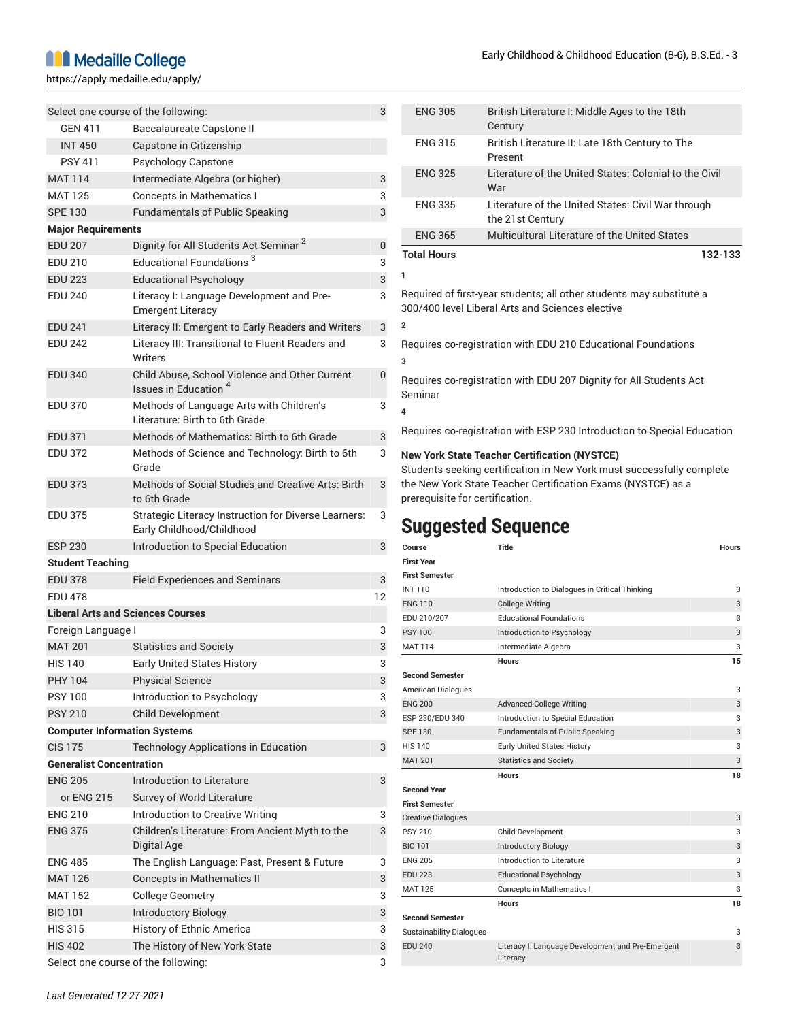### **M** Medaille College

https://apply.medaille.edu/apply/

|                                          | Select one course of the following:                                                      | 3  |
|------------------------------------------|------------------------------------------------------------------------------------------|----|
| <b>GEN 411</b>                           | <b>Baccalaureate Capstone II</b>                                                         |    |
| <b>INT 450</b>                           | Capstone in Citizenship                                                                  |    |
| <b>PSY 411</b>                           | <b>Psychology Capstone</b>                                                               |    |
| <b>MAT 114</b>                           | Intermediate Algebra (or higher)                                                         | 3  |
| <b>MAT 125</b>                           | <b>Concepts in Mathematics I</b>                                                         | 3  |
| <b>SPE 130</b>                           | <b>Fundamentals of Public Speaking</b>                                                   | 3  |
| <b>Major Requirements</b>                |                                                                                          |    |
| <b>EDU 207</b>                           | Dignity for All Students Act Seminar <sup>2</sup>                                        | 0  |
| EDU 210                                  | Educational Foundations <sup>3</sup>                                                     | 3  |
| <b>EDU 223</b>                           | Educational Psychology                                                                   | 3  |
| <b>EDU 240</b>                           | Literacy I: Language Development and Pre-<br><b>Emergent Literacy</b>                    | 3  |
| <b>EDU 241</b>                           | Literacy II: Emergent to Early Readers and Writers                                       | 3  |
| <b>EDU 242</b>                           | Literacy III: Transitional to Fluent Readers and<br><b>Writers</b>                       | 3  |
| <b>EDU 340</b>                           | Child Abuse, School Violence and Other Current<br>Issues in Education <sup>4</sup>       | 0  |
| <b>EDU 370</b>                           | Methods of Language Arts with Children's<br>Literature: Birth to 6th Grade               | 3  |
| <b>EDU 371</b>                           | Methods of Mathematics: Birth to 6th Grade                                               | 3  |
| <b>EDU 372</b>                           | Methods of Science and Technology: Birth to 6th                                          | 3  |
|                                          | Grade                                                                                    |    |
| <b>EDU 373</b>                           | Methods of Social Studies and Creative Arts: Birth<br>to 6th Grade                       | 3  |
| <b>EDU 375</b>                           | <b>Strategic Literacy Instruction for Diverse Learners:</b><br>Early Childhood/Childhood | 3  |
| <b>ESP 230</b>                           | Introduction to Special Education                                                        | 3  |
| <b>Student Teaching</b>                  |                                                                                          |    |
| <b>EDU 378</b>                           | <b>Field Experiences and Seminars</b>                                                    | 3  |
| <b>EDU 478</b>                           |                                                                                          | 12 |
| <b>Liberal Arts and Sciences Courses</b> |                                                                                          |    |
| Foreign Language I                       |                                                                                          | 3  |
| <b>MAT 201</b>                           | <b>Statistics and Society</b>                                                            | 3  |
| <b>HIS 140</b>                           | <b>Early United States History</b>                                                       | 3  |
| <b>PHY 104</b>                           | <b>Physical Science</b>                                                                  | 3  |
| <b>PSY 100</b>                           | Introduction to Psychology                                                               | 3  |
| <b>PSY 210</b>                           | <b>Child Development</b>                                                                 | 3  |
| <b>Computer Information Systems</b>      |                                                                                          |    |
| <b>CIS 175</b>                           | <b>Technology Applications in Education</b>                                              | 3  |
| <b>Generalist Concentration</b>          |                                                                                          |    |
| <b>ENG 205</b>                           | Introduction to Literature                                                               | 3  |
| or ENG 215                               | Survey of World Literature                                                               |    |
| <b>ENG 210</b>                           | Introduction to Creative Writing                                                         | 3  |
| <b>ENG 375</b>                           | Children's Literature: From Ancient Myth to the<br>Digital Age                           | 3  |
| <b>ENG 485</b>                           | The English Language: Past, Present & Future                                             | 3  |
| <b>MAT 126</b>                           | <b>Concepts in Mathematics II</b>                                                        | 3  |
| <b>MAT 152</b>                           | <b>College Geometry</b>                                                                  | 3  |
| <b>BIO 101</b>                           | <b>Introductory Biology</b>                                                              | 3  |
| <b>HIS 315</b>                           | History of Ethnic America                                                                | 3  |
| <b>HIS 402</b>                           | The History of New York State                                                            | 3  |

Select one course of the following: 3

| <b>ENG 305</b>          | British Literature I: Middle Ages to the 18th<br>Century                                                                 |
|-------------------------|--------------------------------------------------------------------------------------------------------------------------|
| <b>ENG 315</b>          | British Literature II: Late 18th Century to The<br>Present                                                               |
| <b>ENG 325</b>          | Literature of the United States: Colonial to the Civil<br>War                                                            |
| <b>ENG 335</b>          | Literature of the United States: Civil War through<br>the 21st Century                                                   |
| <b>ENG 365</b>          | Multicultural Literature of the United States                                                                            |
| <b>Total Hours</b>      | 132-133                                                                                                                  |
| 1                       |                                                                                                                          |
|                         | Required of first-year students; all other students may substitute a<br>300/400 level Liberal Arts and Sciences elective |
| $\mathfrak{p}$          |                                                                                                                          |
| 3                       | Requires co-registration with EDU 210 Educational Foundations                                                            |
|                         |                                                                                                                          |
| Seminar                 | Requires co-registration with EDU 207 Dignity for All Students Act                                                       |
| $\overline{\mathbf{4}}$ |                                                                                                                          |

#### **New York State Teacher Certification (NYSTCE)**

Students seeking certification in New York must successfully complete the New York State Teacher Certification Exams (NYSTCE) as a prerequisite for certification.

### **Suggested Sequence**

| Course                          | <b>Title</b>                                                  | <b>Hours</b> |
|---------------------------------|---------------------------------------------------------------|--------------|
| <b>First Year</b>               |                                                               |              |
| <b>First Semester</b>           |                                                               |              |
| <b>INT110</b>                   | Introduction to Dialogues in Critical Thinking                | 3            |
| <b>ENG 110</b>                  | <b>College Writing</b>                                        | 3            |
| EDU 210/207                     | <b>Educational Foundations</b>                                | 3            |
| <b>PSY 100</b>                  | Introduction to Psychology                                    | 3            |
| <b>MAT 114</b>                  | Intermediate Algebra                                          | 3            |
|                                 | <b>Hours</b>                                                  | 15           |
| <b>Second Semester</b>          |                                                               |              |
| American Dialogues              |                                                               | 3            |
| <b>ENG 200</b>                  | <b>Advanced College Writing</b>                               | 3            |
| ESP 230/EDU 340                 | Introduction to Special Education                             | 3            |
| <b>SPE 130</b>                  | <b>Fundamentals of Public Speaking</b>                        | 3            |
| <b>HIS 140</b>                  | Early United States History                                   | 3            |
| <b>MAT 201</b>                  | <b>Statistics and Society</b>                                 | 3            |
|                                 | <b>Hours</b>                                                  | 18           |
| <b>Second Year</b>              |                                                               |              |
| <b>First Semester</b>           |                                                               |              |
| <b>Creative Dialogues</b>       |                                                               | 3            |
| <b>PSY 210</b>                  | <b>Child Development</b>                                      | 3            |
| <b>BIO 101</b>                  | <b>Introductory Biology</b>                                   | 3            |
| <b>ENG 205</b>                  | Introduction to Literature                                    | 3            |
| <b>EDU 223</b>                  | <b>Educational Psychology</b>                                 | 3            |
| MAT 125                         | Concepts in Mathematics I                                     | 3            |
|                                 | Hours                                                         | 18           |
| <b>Second Semester</b>          |                                                               |              |
| <b>Sustainability Dialogues</b> |                                                               | 3            |
| <b>EDU 240</b>                  | Literacy I: Language Development and Pre-Emergent<br>Literacy | 3            |
|                                 |                                                               |              |